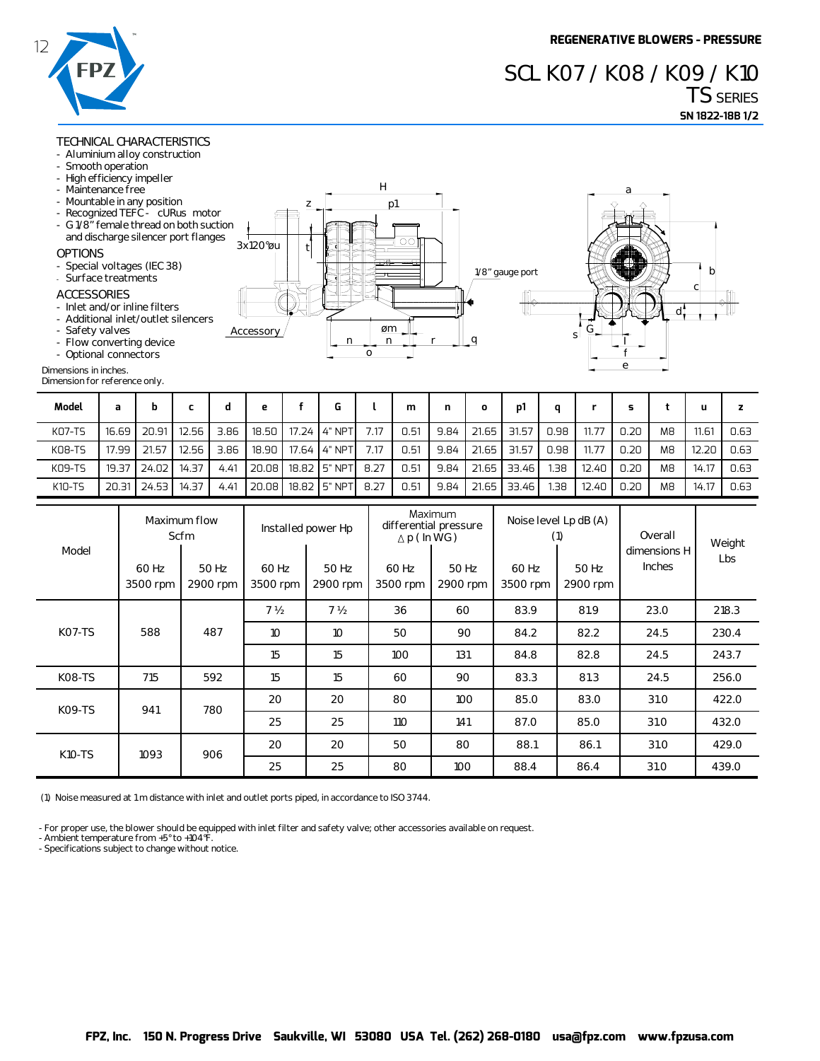### **TECHNICAL CHARACTERISTICS**

- **Aluminium alloy construction**
- **Smooth operation**
- **High efficiency impeller**
- **Maintenance free**
- **Mountable in any position**
- Recognized TEFC cURus
- G 1/8" female thread on bot and discharge silencer port

#### **OPTIONS**

- **Special voltages (IEC 38)**
- **Surface treatments**

#### **ACCESSORIES**

- **Inlet and/or inline filters**
- Additional inlet/outlet silen
- **Safety valves**
- **Flow converting device**

## **- Optional connectors**

#### **Dimension for reference only.**

|            |           | . .             |  |
|------------|-----------|-----------------|--|
| motor      |           |                 |  |
| th suction |           |                 |  |
| flanges    | 3x120°øu  | $\circ$         |  |
|            |           |                 |  |
|            |           | 一心<br>⊞         |  |
|            |           | 1/8" gauge port |  |
|            |           |                 |  |
|            |           | HHC.            |  |
| ncers      |           |                 |  |
|            | Accessory | øm              |  |
|            |           | s<br>n<br>n     |  |
|            |           | ο               |  |
|            |           |                 |  |



| Model  | a     | b     |       |      | е     |                        |      | m    | n    | O     | D1    | a.   |       |      |                | u     |      |
|--------|-------|-------|-------|------|-------|------------------------|------|------|------|-------|-------|------|-------|------|----------------|-------|------|
| KO7-TS | 16.69 | 20.91 | 12.56 | 3.86 |       | 18.50   17.24   4" NPT | 7.17 | 0.51 | 9.84 | 21.65 | 31.57 | 0.98 | 11.77 | 0.20 | M <sub>8</sub> | 11.61 | 0.63 |
| KO8-TS | 17.99 | 21.57 | 12.56 | 3.86 | 18.90 | 17.64 4" NPT           | 7.17 | 0.51 | 9.84 | 21.65 | 31.57 | 0.98 | 11.77 | 0.20 | M <sub>8</sub> | 12.20 | 0.63 |
| K09-TS | 19.37 | 24.02 | 14.37 | 4.41 | 20.08 | 18.82 5" NPT           | 8.27 | 0.51 | 9.84 | 21.65 | 33.46 | 1.38 | 12.40 | 0.20 | M <sub>8</sub> | 14.17 | 0.63 |
| K10-TS | 20.31 | 24.53 | 14.37 | 4.41 | 20.08 | 18.82 5" NPT           | 8.27 | 0.51 | 9.84 | 21.65 | 33.46 | 38.  | 12.40 | 0.20 | M <sub>8</sub> | 14.17 | 0.63 |

| 12<br><b>FPZ</b>                                                                                                                                                                                                                                                                                                                   |                                                                |                                                                                                                                                                                                                                                                                                                                                                                        |       |                                         |                       |                   |        |                                                       |                                                                                                        |      | <b>UCNCRATIVE D</b><br>SCL KO7 / KO8 / KO9 / K10<br><b>TS SERIES</b> |                 |                   |                                          |        |                |       |                 |  |
|------------------------------------------------------------------------------------------------------------------------------------------------------------------------------------------------------------------------------------------------------------------------------------------------------------------------------------|----------------------------------------------------------------|----------------------------------------------------------------------------------------------------------------------------------------------------------------------------------------------------------------------------------------------------------------------------------------------------------------------------------------------------------------------------------------|-------|-----------------------------------------|-----------------------|-------------------|--------|-------------------------------------------------------|--------------------------------------------------------------------------------------------------------|------|----------------------------------------------------------------------|-----------------|-------------------|------------------------------------------|--------|----------------|-------|-----------------|--|
|                                                                                                                                                                                                                                                                                                                                    |                                                                |                                                                                                                                                                                                                                                                                                                                                                                        |       |                                         |                       |                   |        |                                                       |                                                                                                        |      |                                                                      |                 |                   |                                          |        |                |       | SN 1822-18B 1/2 |  |
| - Smooth operation<br>- Maintenance free<br><b>OPTIONS</b><br>- Surface treatments<br><b>ACCESSORIES</b><br>- Safety valves<br>- Optional connectors<br>Dimensions in inches.<br>Dimension for reference only.                                                                                                                     |                                                                | <b>TECHNICAL CHARACTERISTICS</b><br>- Aluminium alloy construction<br>- High efficiency impeller<br>- Mountable in any position<br>- Recognized TEFC - cURus motor<br>- G 1/8" female thread on both suction<br>and discharge silencer port flanges<br>- Special voltages (IEC 38)<br>- Inlet and/or inline filters<br>- Additional inlet/outlet silencers<br>- Flow converting device |       |                                         | 3x120°øu<br>Accessory | z<br>t            | n      | $\mathbf{o}$                                          | н<br>p1<br>$\circ$<br>øm<br>n                                                                          |      | q                                                                    | 1/8" gauge port |                   | sl                                       | a<br>e |                | b     |                 |  |
| Model                                                                                                                                                                                                                                                                                                                              | a                                                              | b                                                                                                                                                                                                                                                                                                                                                                                      | c     | d                                       | e                     | f                 | G      | ι                                                     | m                                                                                                      | n    | o                                                                    | p1              | q                 | r.                                       | s      | t              | u.    | z               |  |
| <b>KO7-TS</b>                                                                                                                                                                                                                                                                                                                      | 16.69                                                          | 20.91                                                                                                                                                                                                                                                                                                                                                                                  | 12.56 | 3.86                                    | 18.50                 | 17.24             | 4" NPT | 7.17                                                  | 0.51                                                                                                   | 9.84 | 21.65                                                                | 31.57           | 0.98              | 11.77                                    | 0.20   | M <sub>8</sub> | 11.61 | 0.63            |  |
| KO8-TS                                                                                                                                                                                                                                                                                                                             | 17.99                                                          | 21.57                                                                                                                                                                                                                                                                                                                                                                                  | 12.56 | 3.86                                    | 18.90                 | 17.64             | 4" NPT | 7.17                                                  | 0.51                                                                                                   | 9.84 | 21.65                                                                | 31.57           | 0.98              | 11.77                                    | 0.20   | M <sub>8</sub> | 12.20 | 0.63            |  |
| K09-TS                                                                                                                                                                                                                                                                                                                             | 19.37                                                          | 24.02                                                                                                                                                                                                                                                                                                                                                                                  | 14.37 | 4.41                                    | 20.08                 | 18.82             | 5" NPT | 8.27                                                  | 0.51                                                                                                   | 9.84 | 21.65                                                                | 33.46           | 1.38              | 12.40                                    | 0.20   | M <sub>8</sub> | 14.17 | 0.63            |  |
| K10-TS                                                                                                                                                                                                                                                                                                                             | 20.31                                                          | 24.53                                                                                                                                                                                                                                                                                                                                                                                  | 14.37 | 4.41                                    | 20.08                 | 18.82             | 5" NPT | 8.27                                                  | 0.51                                                                                                   | 9.84 | 21.65                                                                | 33.46           | 1.38              | 12.40                                    | 0.20   | M <sub>8</sub> | 14.17 | 0.63            |  |
| Model                                                                                                                                                                                                                                                                                                                              | Maximum flow<br>Scfm<br>50 Hz<br>60 Hz<br>3500 rpm<br>2900 rpm |                                                                                                                                                                                                                                                                                                                                                                                        |       | Installed power Hp<br>60 Hz<br>3500 rpm |                       | 50 Hz<br>2900 rpm |        | Maximum<br>$\triangle$ p (In WG)<br>60 Hz<br>3500 rpm | differential pressure<br>50 Hz<br>2900 rpm                                                             |      | Noise level Lp dB (A)<br>(1)<br>60 Hz<br>3500 rpm                    |                 | 50 Hz<br>2900 rpm | Overall<br>dimensions H<br><b>Inches</b> |        | Weight<br>Lbs  |       |                 |  |
|                                                                                                                                                                                                                                                                                                                                    |                                                                |                                                                                                                                                                                                                                                                                                                                                                                        |       |                                         |                       | 7 <sub>2</sub>    |        |                                                       | 36                                                                                                     | 60   |                                                                      | 83.9            |                   | 81.9                                     |        | 23.0           |       | 218.3           |  |
| KO7-TS                                                                                                                                                                                                                                                                                                                             |                                                                | 588                                                                                                                                                                                                                                                                                                                                                                                    |       | 487                                     | 10                    |                   | 10     |                                                       | 50                                                                                                     |      | 90                                                                   |                 |                   | 82.2                                     |        | 24.5           |       | 230.4           |  |
|                                                                                                                                                                                                                                                                                                                                    |                                                                |                                                                                                                                                                                                                                                                                                                                                                                        |       |                                         | 15                    |                   | 15     |                                                       | 100                                                                                                    | 131  |                                                                      | 84.8            |                   | 82.8                                     |        | 24.5           | 243.7 |                 |  |
| <b>K08-TS</b>                                                                                                                                                                                                                                                                                                                      |                                                                | 715                                                                                                                                                                                                                                                                                                                                                                                    |       | 592                                     | 15                    |                   | 15     |                                                       | 60                                                                                                     | 90   |                                                                      | 83.3            |                   | 81.3                                     |        | 24.5           |       | 256.0           |  |
|                                                                                                                                                                                                                                                                                                                                    |                                                                |                                                                                                                                                                                                                                                                                                                                                                                        |       |                                         |                       |                   | 20     |                                                       |                                                                                                        |      |                                                                      |                 |                   |                                          | 31.0   |                | 422.0 |                 |  |
| <b>K09-TS</b>                                                                                                                                                                                                                                                                                                                      |                                                                | 941                                                                                                                                                                                                                                                                                                                                                                                    |       | 780                                     |                       | 20                |        |                                                       | 80                                                                                                     | 100  |                                                                      | 85.0            |                   | 83.0                                     |        |                |       |                 |  |
|                                                                                                                                                                                                                                                                                                                                    |                                                                |                                                                                                                                                                                                                                                                                                                                                                                        |       |                                         | 25                    |                   | 25     |                                                       | 110                                                                                                    | 141  |                                                                      | 87.0            |                   | 85.0                                     |        | 31.0           |       | 432.0           |  |
| K10-TS                                                                                                                                                                                                                                                                                                                             |                                                                | 1093                                                                                                                                                                                                                                                                                                                                                                                   |       | 906                                     | 20<br>20              |                   |        | 50                                                    | 80                                                                                                     |      | 88.1                                                                 |                 | 86.1              |                                          | 31.0   |                | 429.0 |                 |  |
|                                                                                                                                                                                                                                                                                                                                    |                                                                |                                                                                                                                                                                                                                                                                                                                                                                        |       |                                         | 25                    |                   | 25     |                                                       | 80                                                                                                     | 100  |                                                                      | 88.4            |                   | 86.4                                     |        | 31.0           |       | 439.0           |  |
| (1) Noise measured at 1 m distance with inlet and outlet ports piped, in accordance to ISO 3744.<br>- For proper use, the blower should be equipped with inlet filter and safety valve; other accessories available on request.<br>- Ambient temperature from +5° to +104°F.<br>- Specifications subject to change without notice. |                                                                |                                                                                                                                                                                                                                                                                                                                                                                        |       |                                         |                       |                   |        |                                                       |                                                                                                        |      |                                                                      |                 |                   |                                          |        |                |       |                 |  |
|                                                                                                                                                                                                                                                                                                                                    |                                                                |                                                                                                                                                                                                                                                                                                                                                                                        |       |                                         |                       |                   |        |                                                       | FPZ, Inc. 150 N. Progress Drive Saukville, WI 53080 USA Tel. (262) 268-0180 usa@fpz.com www.fpzusa.com |      |                                                                      |                 |                   |                                          |        |                |       |                 |  |